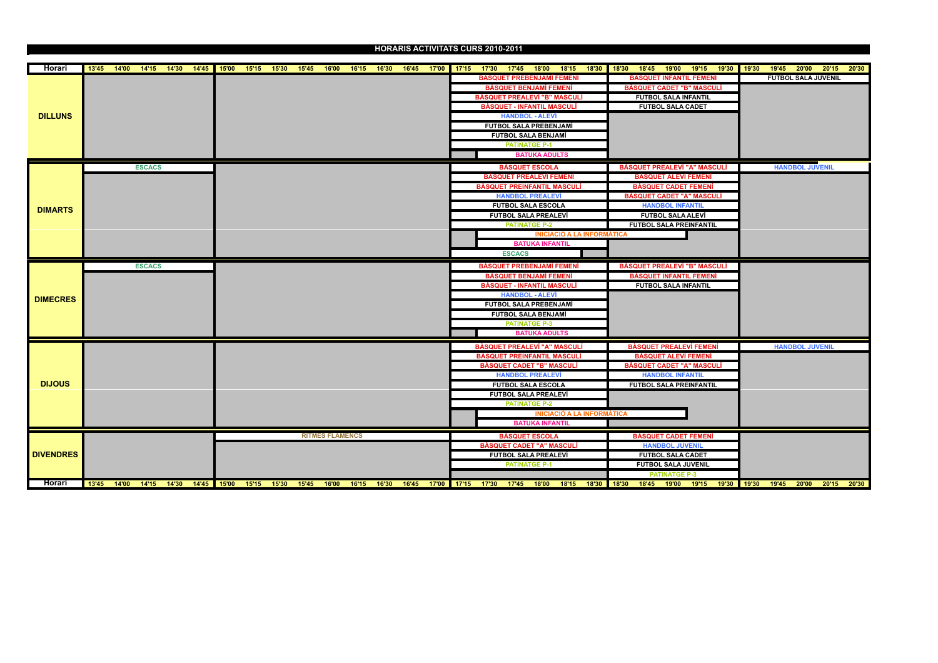## **HORARIS ACTIVITATS CURS 2010-2011**

| Horari           |  |               |  |  |  |                        |  |  |  |                         | 13'45 14'00 14'15 14'30 14'45 15'00 15'15 15'30 15'45 16'00 16'15 16'30 16'45 17'00 17'15 17'30 17'45 18'00 18'15 18'30 18'45 19'00 19'15 19'30 19'45 20'00 20'15 20'00 20'15 20'30 |  |                                     |                            |  |                            |  |
|------------------|--|---------------|--|--|--|------------------------|--|--|--|-------------------------|-------------------------------------------------------------------------------------------------------------------------------------------------------------------------------------|--|-------------------------------------|----------------------------|--|----------------------------|--|
|                  |  |               |  |  |  |                        |  |  |  |                         | <b>BÀSQUET PREBENJAMÍ FEMENÍ</b>                                                                                                                                                    |  | <b>BÀSQUET INFANTIL FEMENÍ</b>      |                            |  | <b>FUTBOL SALA JUVENIL</b> |  |
| <b>DILLUNS</b>   |  |               |  |  |  |                        |  |  |  |                         | <b>BÀSQUET BENJAMÍ FEMENÍ</b>                                                                                                                                                       |  | <b>BÀSQUET CADET "B" MASCULÍ</b>    |                            |  |                            |  |
|                  |  |               |  |  |  |                        |  |  |  |                         | <b>BÀSQUET PREALEVÍ "B" MASCULÍ</b>                                                                                                                                                 |  | <b>FUTBOL SALA INFANTIL</b>         |                            |  |                            |  |
|                  |  |               |  |  |  |                        |  |  |  |                         | <b>BÀSQUET - INFANTIL MASCULÍ</b>                                                                                                                                                   |  |                                     | <b>FUTBOL SALA CADET</b>   |  |                            |  |
|                  |  |               |  |  |  |                        |  |  |  | <b>HANDBOL - ALEVÍ</b>  |                                                                                                                                                                                     |  |                                     |                            |  |                            |  |
|                  |  |               |  |  |  |                        |  |  |  |                         | FUTBOL SALA PREBENJAMÍ                                                                                                                                                              |  |                                     |                            |  |                            |  |
|                  |  |               |  |  |  |                        |  |  |  |                         | <b>FUTBOL SALA BENJAMÍ</b>                                                                                                                                                          |  |                                     |                            |  |                            |  |
|                  |  |               |  |  |  |                        |  |  |  | <b>PATINATGE P-1</b>    |                                                                                                                                                                                     |  |                                     |                            |  |                            |  |
|                  |  |               |  |  |  |                        |  |  |  |                         | <b>BATUKA ADULTS</b>                                                                                                                                                                |  |                                     |                            |  |                            |  |
|                  |  | <b>ESCACS</b> |  |  |  |                        |  |  |  | <b>BÀSQUET ESCOLA</b>   |                                                                                                                                                                                     |  | <b>BÀSQUET PREALEVÍ "A" MASCULÍ</b> |                            |  | <b>HANDBOL JUVENIL</b>     |  |
|                  |  |               |  |  |  |                        |  |  |  |                         | <b>BÀSQUET PREALEVÍ FEMENÍ</b>                                                                                                                                                      |  | <b>BÀSQUET ALEVÍ FEMENÍ</b>         |                            |  |                            |  |
|                  |  |               |  |  |  |                        |  |  |  |                         | <b>BÀSQUET PREINFANTIL MASCULÍ</b>                                                                                                                                                  |  | <b>BÀSQUET CADET FEMENÍ</b>         |                            |  |                            |  |
|                  |  |               |  |  |  |                        |  |  |  |                         | <b>HANDBOL PREALEVÍ</b>                                                                                                                                                             |  | <b>BÀSQUET CADET "A" MASCULÍ</b>    |                            |  |                            |  |
| <b>DIMARTS</b>   |  |               |  |  |  |                        |  |  |  |                         | <b>FUTBOL SALA ESCOLA</b>                                                                                                                                                           |  |                                     | <b>HANDBOL INFANTIL</b>    |  |                            |  |
|                  |  |               |  |  |  |                        |  |  |  |                         | <b>FUTBOL SALA PREALEVÍ</b>                                                                                                                                                         |  |                                     | <b>FUTBOL SALA ALEVÍ</b>   |  |                            |  |
|                  |  |               |  |  |  |                        |  |  |  | <b>PATINATGE P-2</b>    |                                                                                                                                                                                     |  | <b>FUTBOL SALA PREINFANTIL</b>      |                            |  |                            |  |
|                  |  |               |  |  |  |                        |  |  |  |                         | <b>INICIACIÓ A LA INFORMÀTICA</b>                                                                                                                                                   |  |                                     |                            |  |                            |  |
|                  |  |               |  |  |  |                        |  |  |  |                         | <b>BATUKA INFANTIL</b>                                                                                                                                                              |  |                                     |                            |  |                            |  |
|                  |  |               |  |  |  |                        |  |  |  | <b>ESCACS</b>           |                                                                                                                                                                                     |  |                                     |                            |  |                            |  |
|                  |  | <b>ESCACS</b> |  |  |  |                        |  |  |  |                         | <b>BÀSQUET PREBENJAMÍ FEMENÍ</b>                                                                                                                                                    |  | <b>BÀSQUET PREALEVÍ "B" MASCULÍ</b> |                            |  |                            |  |
|                  |  |               |  |  |  |                        |  |  |  |                         | <b>BÀSQUET BENJAMÍ FEMENÍ</b>                                                                                                                                                       |  | <b>BÀSQUET INFANTIL FEMENÍ</b>      |                            |  |                            |  |
|                  |  |               |  |  |  |                        |  |  |  |                         | <b>BÀSQUET - INFANTIL MASCULÍ</b>                                                                                                                                                   |  | <b>FUTBOL SALA INFANTIL</b>         |                            |  |                            |  |
| <b>DIMECRES</b>  |  |               |  |  |  |                        |  |  |  | <b>HANDBOL - ALEVÍ</b>  |                                                                                                                                                                                     |  |                                     |                            |  |                            |  |
|                  |  |               |  |  |  |                        |  |  |  |                         | FUTBOL SALA PREBENJAMÍ                                                                                                                                                              |  |                                     |                            |  |                            |  |
|                  |  |               |  |  |  |                        |  |  |  |                         | <b>FUTBOL SALA BENJAMÍ</b>                                                                                                                                                          |  |                                     |                            |  |                            |  |
|                  |  |               |  |  |  |                        |  |  |  | <b>PATINATGE P-3</b>    |                                                                                                                                                                                     |  |                                     |                            |  |                            |  |
|                  |  |               |  |  |  |                        |  |  |  |                         | <b>BATUKA ADULTS</b>                                                                                                                                                                |  |                                     |                            |  |                            |  |
|                  |  |               |  |  |  |                        |  |  |  |                         | <b>BÀSQUET PREALEVÍ "A" MASCULÍ</b>                                                                                                                                                 |  | <b>BÀSQUET PREALEVÍ FEMENÍ</b>      |                            |  | <b>HANDBOL JUVENIL</b>     |  |
|                  |  |               |  |  |  |                        |  |  |  |                         | <b>BÀSQUET PREINFANTIL MASCULÍ</b>                                                                                                                                                  |  | <b>BÀSQUET ALEVÍ FEMENÍ</b>         |                            |  |                            |  |
|                  |  |               |  |  |  |                        |  |  |  |                         | <b>BÀSQUET CADET "B" MASCULÍ</b>                                                                                                                                                    |  | <b>BÀSQUET CADET "A" MASCULÍ</b>    |                            |  |                            |  |
|                  |  |               |  |  |  |                        |  |  |  | <b>HANDBOL PREALEVÍ</b> |                                                                                                                                                                                     |  |                                     | <b>HANDBOL INFANTIL</b>    |  |                            |  |
| <b>DIJOUS</b>    |  |               |  |  |  |                        |  |  |  |                         | <b>FUTBOL SALA ESCOLA</b>                                                                                                                                                           |  | <b>FUTBOL SALA PREINFANTIL</b>      |                            |  |                            |  |
|                  |  |               |  |  |  |                        |  |  |  |                         | <b>FUTBOL SALA PREALEVÍ</b>                                                                                                                                                         |  |                                     |                            |  |                            |  |
|                  |  |               |  |  |  |                        |  |  |  | <b>PATINATGE P-2</b>    |                                                                                                                                                                                     |  |                                     |                            |  |                            |  |
|                  |  |               |  |  |  |                        |  |  |  |                         | <b>INICIACIÓ A LA INFORMÀTICA</b>                                                                                                                                                   |  |                                     |                            |  |                            |  |
|                  |  |               |  |  |  |                        |  |  |  |                         | <b>BATUKA INFANTIL</b>                                                                                                                                                              |  |                                     |                            |  |                            |  |
|                  |  |               |  |  |  | <b>RITMES FLAMENCS</b> |  |  |  | <b>BÀSQUET ESCOLA</b>   |                                                                                                                                                                                     |  | <b>BÀSQUET CADET FEMENÍ</b>         |                            |  |                            |  |
|                  |  |               |  |  |  |                        |  |  |  |                         | <b>BÀSQUET CADET "A" MASCULÍ</b>                                                                                                                                                    |  |                                     | <b>HANDBOL JUVENIL</b>     |  |                            |  |
| <b>DIVENDRES</b> |  |               |  |  |  |                        |  |  |  |                         | <b>FUTBOL SALA PREALEVÍ</b>                                                                                                                                                         |  |                                     | <b>FUTBOL SALA CADET</b>   |  |                            |  |
|                  |  |               |  |  |  |                        |  |  |  | <b>PATINATGE P-1</b>    |                                                                                                                                                                                     |  |                                     | <b>FUTBOL SALA JUVENIL</b> |  |                            |  |
|                  |  |               |  |  |  |                        |  |  |  |                         |                                                                                                                                                                                     |  |                                     | <b>PATINATGE P-3</b>       |  |                            |  |
| Horari           |  |               |  |  |  |                        |  |  |  |                         | 13'45 14'00 14'15 14'30 14'45 15'00 15'15 15'30 15'45 16'00 16'15 16'30 16'45 17'00 17'15 17'30 17'45 18'00 18'15 18'30 18'45 19'00 19'15 19'30 19'45 20'00 20'15 20'30             |  |                                     |                            |  |                            |  |